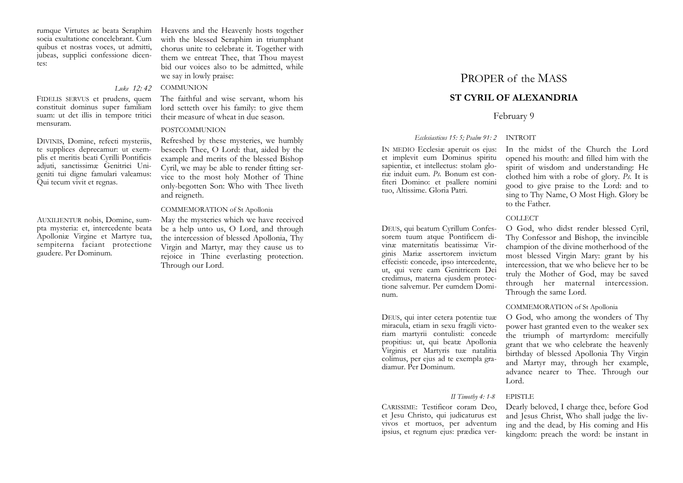rumque Virtutes ac beata Seraphim socia exultatione concelebrant. Cum quibus et nostras voces, ut admitti, jubeas, supplici confessione dicentes:

Heavens and the Heavenly hosts together with the blessed Seraphim in triumphant chorus unite to celebrate it. Together with them we entreat Thee, that Thou mayest bid our voices also to be admitted, while we say in lowly praise:

### *Luke 12: 42***COMMUNION**

FIDELIS SERVUS et prudens, quem constituit dominus super familiam suam: ut det illis in tempore tritici mensuram.

DIVINIS, Domine, refecti mysteriis, te supplices deprecamur: ut exemplis et meritis beati Cyrilli Pontificis adjuti, sanctissimæ Genitrici Unigeniti tui digne famulari valeamus: Qui tecum vivit et regnas.

AUXILIENTUR nobis, Domine, sumpta mysteria: et, intercedente beata Apolloniæ Virgine et Martyre tua, sempiterna faciant protectione gaudere. Per Dominum.

# The faithful and wise servant, whom his lord setteth over his family: to give them their measure of wheat in due season.

### POSTCOMMUNION

Refreshed by these mysteries, we humbly beseech Thee, O Lord: that, aided by the example and merits of the blessed Bishop Cyril, we may be able to render fitting service to the most holy Mother of Thine only-begotten Son: Who with Thee liveth and reigneth.

### COMMEMORATION of St Apollonia

May the mysteries which we have received be a help unto us, O Lord, and through the intercession of blessed Apollonia, Thy Virgin and Martyr, may they cause us to rejoice in Thine everlasting protection. Through our Lord.

## PROPER of the MASS

### **ST CYRIL OF ALEXANDRIA**

## February 9

### *Ecclesiasticus 15: 5; Psalm 91: 2* INTROIT

IN MEDIO Ecclesiæ aperuit os ejus: et implevit eum Dominus spiritu sapientiæ, et intellectus: stolam gloriæ induit eum. *Ps.* Bonum est confiteri Domino: et psallere nomini tuo, Altissime. Gloria Patri.

DEUS, qui beatum Cyrillum Confessorem tuum atque Pontificem divinæ maternitatis beatissimæ Virginis Mariæ assertorem invictum effecisti: concede, ipso intercedente, ut, qui vere eam Genitricem Dei credimus, materna ejusdem protectione salvemur. Per eumdem Dominum.

DEUS, qui inter cetera potentiæ tuæ miracula, etiam in sexu fragili victoriam martyrii contulisti: concede propitius: ut, qui beatæ Apollonia Virginis et Martyris tuæ natalitia colimus, per ejus ad te exempla gradiamur. Per Dominum.

*II Timothy 4: 1-8* EPISTLE

CARISSIME: Testificor coram Deo, et Jesu Christo, qui judicaturus est vivos et mortuos, per adventum ipsius, et regnum ejus: prædica ver-

In the midst of the Church the Lord opened his mouth: and filled him with the spirit of wisdom and understanding: He clothed him with a robe of glory. *Ps.* It is good to give praise to the Lord: and to sing to Thy Name, O Most High. Glory be to the Father.

### COLLECT

O God, who didst render blessed Cyril, Thy Confessor and Bishop, the invincible champion of the divine motherhood of the most blessed Virgin Mary: grant by his intercession, that we who believe her to be truly the Mother of God, may be saved through her maternal intercession. Through the same Lord.

### COMMEMORATION of St Apollonia

O God, who among the wonders of Thy power hast granted even to the weaker sex the triumph of martyrdom: mercifully grant that we who celebrate the heavenly birthday of blessed Apollonia Thy Virgin and Martyr may, through her example, advance nearer to Thee. Through our Lord.

Dearly beloved, I charge thee, before God and Jesus Christ, Who shall judge the liv kingdom: preach the word: be instant in